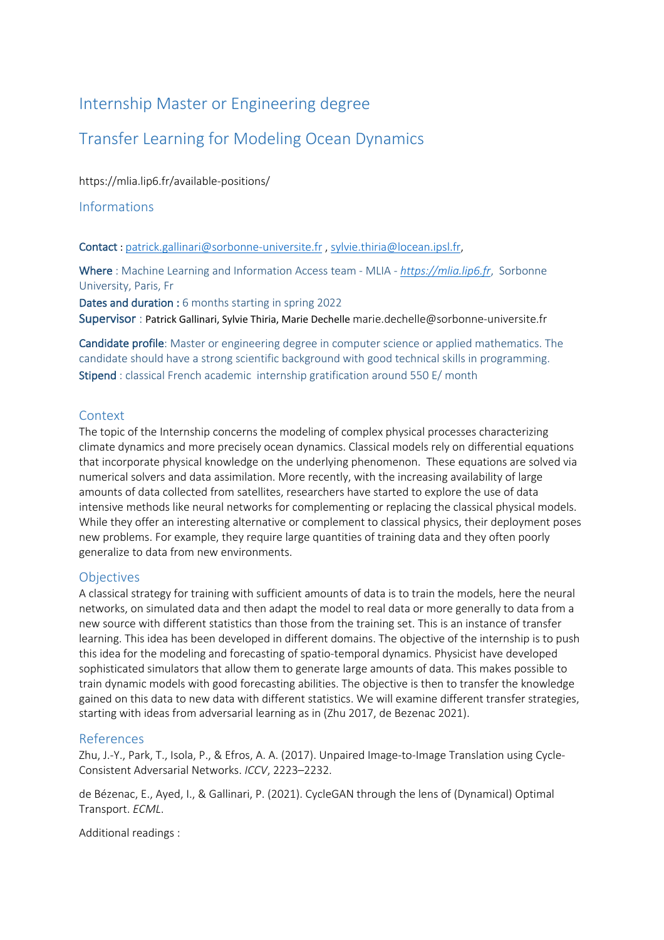# Internship Master or Engineering degree

# Transfer Learning for Modeling Ocean Dynamics

https://mlia.lip6.fr/available-positions/

Informations

Contact : patrick.gallinari@sorbonne-universite.fr , sylvie.thiria@locean.ipsl.fr,

Where : Machine Learning and Information Access team - MLIA *- https://mlia.lip6.fr*, Sorbonne University, Paris, Fr

Dates and duration : 6 months starting in spring 2022 Supervisor : Patrick Gallinari, Sylvie Thiria, Marie Dechelle marie.dechelle@sorbonne-universite.fr

Candidate profile: Master or engineering degree in computer science or applied mathematics. The candidate should have a strong scientific background with good technical skills in programming. Stipend : classical French academic internship gratification around 550 E/ month

### **Context**

The topic of the Internship concerns the modeling of complex physical processes characterizing climate dynamics and more precisely ocean dynamics. Classical models rely on differential equations that incorporate physical knowledge on the underlying phenomenon. These equations are solved via numerical solvers and data assimilation. More recently, with the increasing availability of large amounts of data collected from satellites, researchers have started to explore the use of data intensive methods like neural networks for complementing or replacing the classical physical models. While they offer an interesting alternative or complement to classical physics, their deployment poses new problems. For example, they require large quantities of training data and they often poorly generalize to data from new environments.

### **Objectives**

A classical strategy for training with sufficient amounts of data is to train the models, here the neural networks, on simulated data and then adapt the model to real data or more generally to data from a new source with different statistics than those from the training set. This is an instance of transfer learning. This idea has been developed in different domains. The objective of the internship is to push this idea for the modeling and forecasting of spatio-temporal dynamics. Physicist have developed sophisticated simulators that allow them to generate large amounts of data. This makes possible to train dynamic models with good forecasting abilities. The objective is then to transfer the knowledge gained on this data to new data with different statistics. We will examine different transfer strategies, starting with ideas from adversarial learning as in (Zhu 2017, de Bezenac 2021).

## References

Zhu, J.-Y., Park, T., Isola, P., & Efros, A. A. (2017). Unpaired Image-to-Image Translation using Cycle-Consistent Adversarial Networks. *ICCV*, 2223–2232.

de Bézenac, E., Ayed, I., & Gallinari, P. (2021). CycleGAN through the lens of (Dynamical) Optimal Transport. *ECML*.

Additional readings :